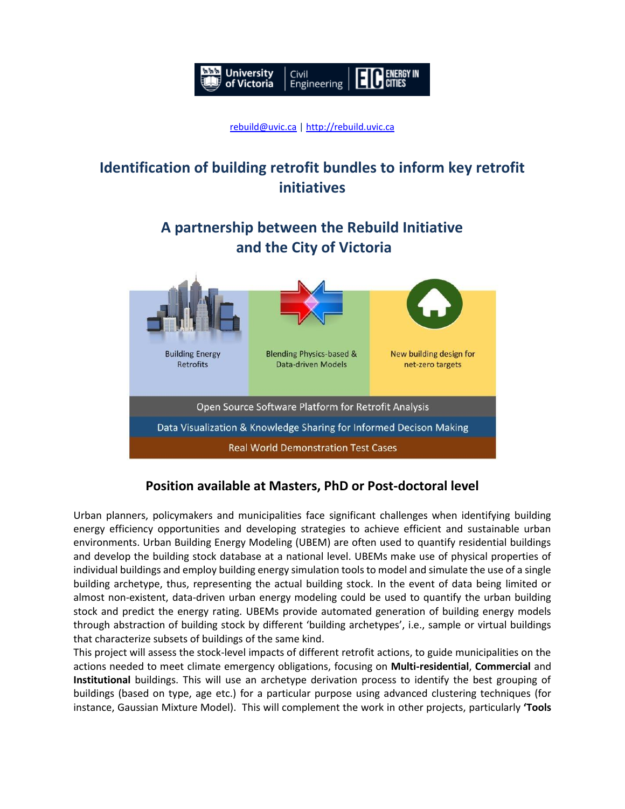

# **Identification of building retrofit bundles to inform key retrofit initiatives**

**A partnership between the Rebuild Initiative and the City of Victoria**



## **Position available at Masters, PhD or Post-doctoral level**

Urban planners, policymakers and municipalities face significant challenges when identifying building energy efficiency opportunities and developing strategies to achieve efficient and sustainable urban environments. Urban Building Energy Modeling (UBEM) are often used to quantify residential buildings and develop the building stock database at a national level. UBEMs make use of physical properties of individual buildings and employ building energy simulation tools to model and simulate the use of a single building archetype, thus, representing the actual building stock. In the event of data being limited or almost non-existent, data-driven urban energy modeling could be used to quantify the urban building stock and predict the energy rating. UBEMs provide automated generation of building energy models through abstraction of building stock by different 'building archetypes', i.e., sample or virtual buildings that characterize subsets of buildings of the same kind.

This project will assess the stock-level impacts of different retrofit actions, to guide municipalities on the actions needed to meet climate emergency obligations, focusing on **Multi-residential**, **Commercial** and **Institutional** buildings. This will use an archetype derivation process to identify the best grouping of buildings (based on type, age etc.) for a particular purpose using advanced clustering techniques (for instance, Gaussian Mixture Model). This will complement the work in other projects, particularly **'Tools**